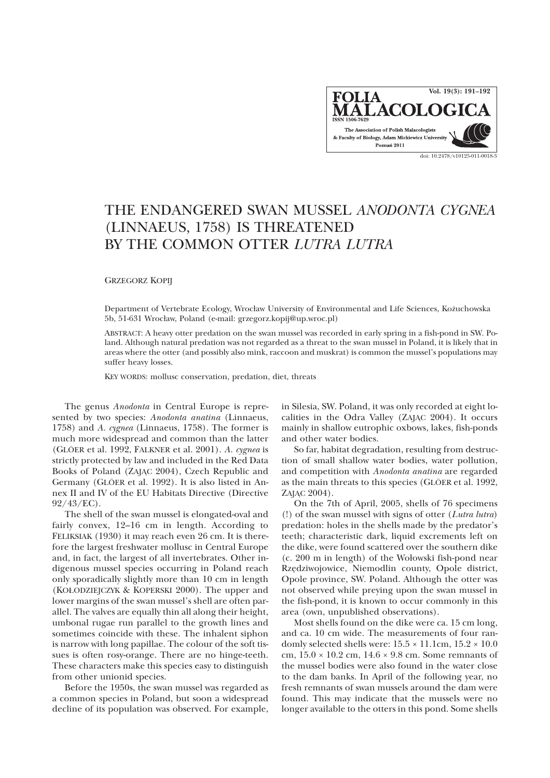

## THE ENDANGERED SWAN MUSSEL *ANODONTA CYGNEA* (LINNAEUS, 1758) IS THREATENED BY THE COMMON OTTER *LUTRA LUTRA*

GRZEGORZ KOPIJ

Department of Vertebrate Ecology, Wrocław University of Environmental and Life Sciences, Kożuchowska 5b, 51-631 Wrocław, Poland (e-mail: grzegorz.kopij@up.wroc.pl)

ABSTRACT: A heavy otter predation on the swan mussel was recorded in early spring in a fish-pond in SW. Poland. Although natural predation was not regarded as a threat to the swan mussel in Poland, it is likely that in areas where the otter (and possibly also mink, raccoon and muskrat) is common the mussel's populations may suffer heavy losses.

KEY WORDS: mollusc conservation, predation, diet, threats

The genus *Anodonta* in Central Europe is represented by two species: *Anodonta anatina* (Linnaeus, 1758) and *A. cygnea* (Linnaeus, 1758). The former is much more widespread and common than the latter (GLÖER et al. 1992, FALKNER et al. 2001). *A. cygnea* is strictly protected by law and included in the Red Data Books of Poland (ZAJAC 2004), Czech Republic and Germany (GLÖER et al. 1992). It is also listed in Annex II and IV of the EU Habitats Directive (Directive 92/43/EC).

The shell of the swan mussel is elongated-oval and fairly convex, 12–16 cm in length. According to FELIKSIAK (1930) it may reach even 26 cm. It is therefore the largest freshwater mollusc in Central Europe and, in fact, the largest of all invertebrates. Other indigenous mussel species occurring in Poland reach only sporadically slightly more than 10 cm in length (KO£ODZIEJCZYK & KOPERSKI 2000). The upper and lower margins of the swan mussel's shell are often parallel. The valves are equally thin all along their height, umbonal rugae run parallel to the growth lines and sometimes coincide with these. The inhalent siphon is narrow with long papillae. The colour of the soft tissues is often rosy-orange. There are no hinge-teeth. These characters make this species easy to distinguish from other unionid species.

Before the 1950s, the swan mussel was regarded as a common species in Poland, but soon a widespread decline of its population was observed. For example, in Silesia, SW. Poland, it was only recorded at eight localities in the Odra Valley (ZAJAC 2004). It occurs mainly in shallow eutrophic oxbows, lakes, fish-ponds and other water bodies.

So far, habitat degradation, resulting from destruction of small shallow water bodies, water pollution, and competition with *Anodonta anatina* are regarded as the main threats to this species (GLÖER et al. 1992, ZAJAC 2004).

On the 7th of April, 2005, shells of 76 specimens (!) of the swan mussel with signs of otter (*Lutra lutra*) predation: holes in the shells made by the predator's teeth; characteristic dark, liquid excrements left on the dike, were found scattered over the southern dike (c. 200 m in length) of the Wołowski fish-pond near Rzêdziwojowice, Niemodlin county, Opole district, Opole province, SW. Poland. Although the otter was not observed while preying upon the swan mussel in the fish-pond, it is known to occur commonly in this area (own, unpublished observations).

Most shells found on the dike were ca. 15 cm long, and ca. 10 cm wide. The measurements of four randomly selected shells were:  $15.5 \times 11.1$ cm,  $15.2 \times 10.0$ cm,  $15.0 \times 10.2$  cm,  $14.6 \times 9.8$  cm. Some remnants of the mussel bodies were also found in the water close to the dam banks. In April of the following year, no fresh remnants of swan mussels around the dam were found. This may indicate that the mussels were no longer available to the otters in this pond. Some shells